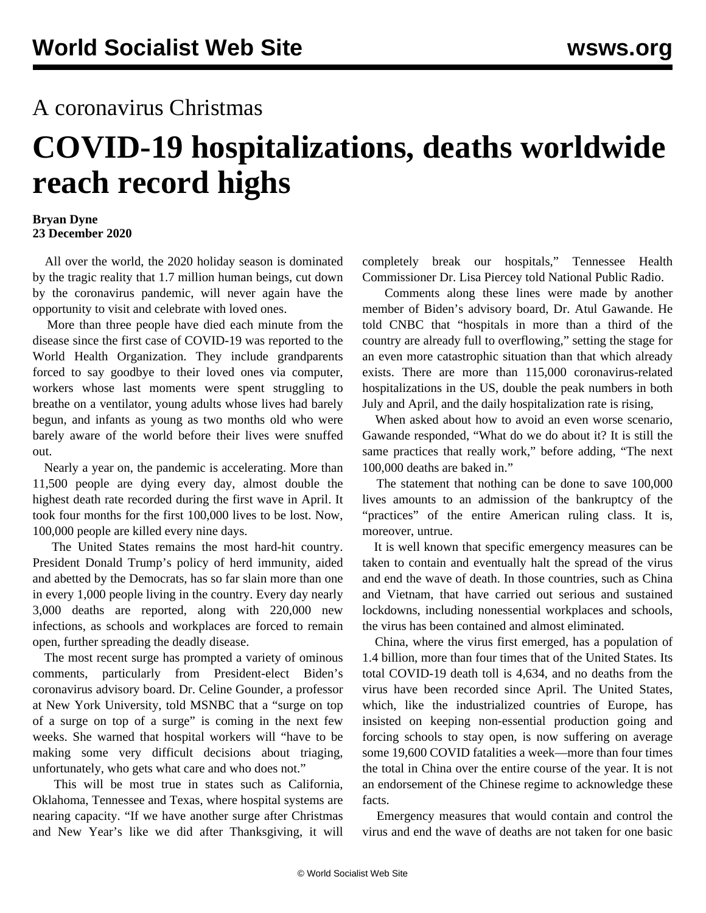## A coronavirus Christmas

## **COVID-19 hospitalizations, deaths worldwide reach record highs**

## **Bryan Dyne 23 December 2020**

 All over the world, the 2020 holiday season is dominated by the tragic reality that 1.7 million human beings, cut down by the coronavirus pandemic, will never again have the opportunity to visit and celebrate with loved ones.

 More than three people have died each minute from the disease since the first case of COVID-19 was reported to the World Health Organization. They include grandparents forced to say goodbye to their loved ones via computer, workers whose last moments were spent struggling to breathe on a ventilator, young adults whose lives had barely begun, and infants as young as two months old who were barely aware of the world before their lives were snuffed out.

 Nearly a year on, the pandemic is accelerating. More than 11,500 people are dying every day, almost double the highest death rate recorded during the first wave in April. It took four months for the first 100,000 lives to be lost. Now, 100,000 people are killed every nine days.

 The United States remains the most hard-hit country. President Donald Trump's policy of herd immunity, aided and abetted by the Democrats, has so far slain more than one in every 1,000 people living in the country. Every day nearly 3,000 deaths are reported, along with 220,000 new infections, as schools and workplaces are forced to remain open, further spreading the deadly disease.

 The most recent surge has prompted a variety of ominous comments, particularly from President-elect Biden's coronavirus advisory board. Dr. Celine Gounder, a professor at New York University, told MSNBC that a "surge on top of a surge on top of a surge" is coming in the next few weeks. She warned that hospital workers will "have to be making some very difficult decisions about triaging, unfortunately, who gets what care and who does not."

 This will be most true in states such as California, Oklahoma, Tennessee and Texas, where hospital systems are nearing capacity. "If we have another surge after Christmas and New Year's like we did after Thanksgiving, it will completely break our hospitals," Tennessee Health Commissioner Dr. Lisa Piercey told National Public Radio.

 Comments along these lines were made by another member of Biden's advisory board, Dr. Atul Gawande. He told CNBC that "hospitals in more than a third of the country are already full to overflowing," setting the stage for an even more catastrophic situation than that which already exists. There are more than 115,000 coronavirus-related hospitalizations in the US, double the peak numbers in both July and April, and the daily hospitalization rate is rising,

 When asked about how to avoid an even worse scenario, Gawande responded, "What do we do about it? It is still the same practices that really work," before adding, "The next 100,000 deaths are baked in."

 The statement that nothing can be done to save 100,000 lives amounts to an admission of the bankruptcy of the "practices" of the entire American ruling class. It is, moreover, untrue.

 It is well known that specific emergency measures can be taken to contain and eventually halt the spread of the virus and end the wave of death. In those countries, such as China and Vietnam, that have carried out serious and sustained lockdowns, including nonessential workplaces and schools, the virus has been contained and almost eliminated.

 China, where the virus first emerged, has a population of 1.4 billion, more than four times that of the United States. Its total COVID-19 death toll is 4,634, and no deaths from the virus have been recorded since April. The United States, which, like the industrialized countries of Europe, has insisted on keeping non-essential production going and forcing schools to stay open, is now suffering on average some 19,600 COVID fatalities a week—more than four times the total in China over the entire course of the year. It is not an endorsement of the Chinese regime to acknowledge these facts.

 Emergency measures that would contain and control the virus and end the wave of deaths are not taken for one basic